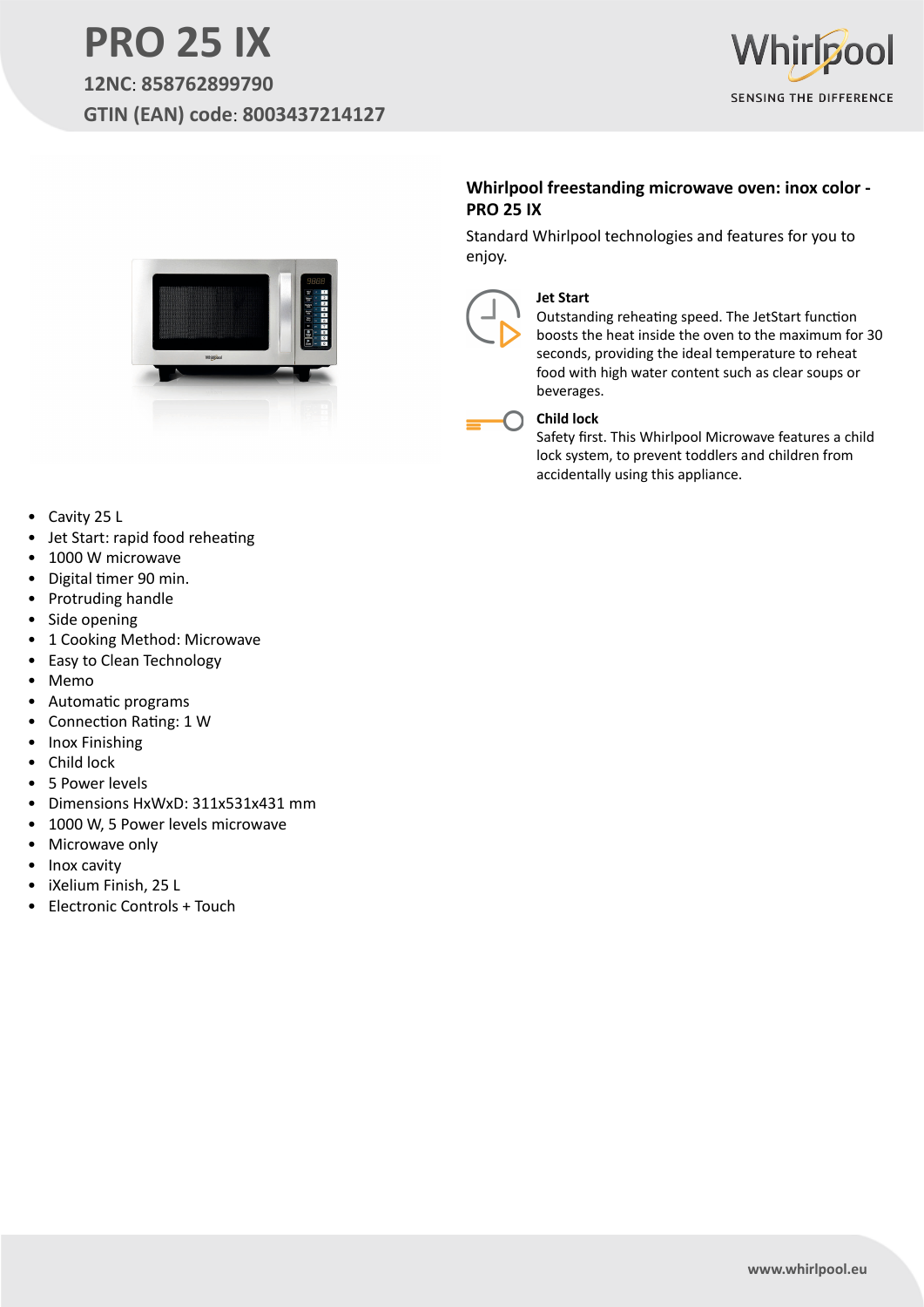## **PRO 25 IX 12NC**: **858762899790 GTIN (EAN) code**: **8003437214127**





### **Whirlpool freestanding microwave oven: inox color - PRO 25 IX**

Standard Whirlpool technologies and features for you to enjoy.



### **Jet Start**

Outstanding reheating speed. The JetStart function boosts the heat inside the oven to the maximum for 30 seconds, providing the ideal temperature to reheat food with high water content such as clear soups or beverages.

### **Child lock**

Safety first. This Whirlpool Microwave features a child lock system, to prevent toddlers and children from accidentally using this appliance.

- Cavity 25 L
- Jet Start: rapid food reheating
- 1000 W microwave
- Digital timer 90 min.
- Protruding handle
- Side opening
- 1 Cooking Method: Microwave
- Easy to Clean Technology
- Memo
- Automatic programs
- Connection Rating: 1 W
- Inox Finishing
- Child lock
- 5 Power levels
- Dimensions HxWxD: 311x531x431 mm
- 1000 W, 5 Power levels microwave
- Microwave only
- Inox cavity
- iXelium Finish, 25 L
- Electronic Controls + Touch